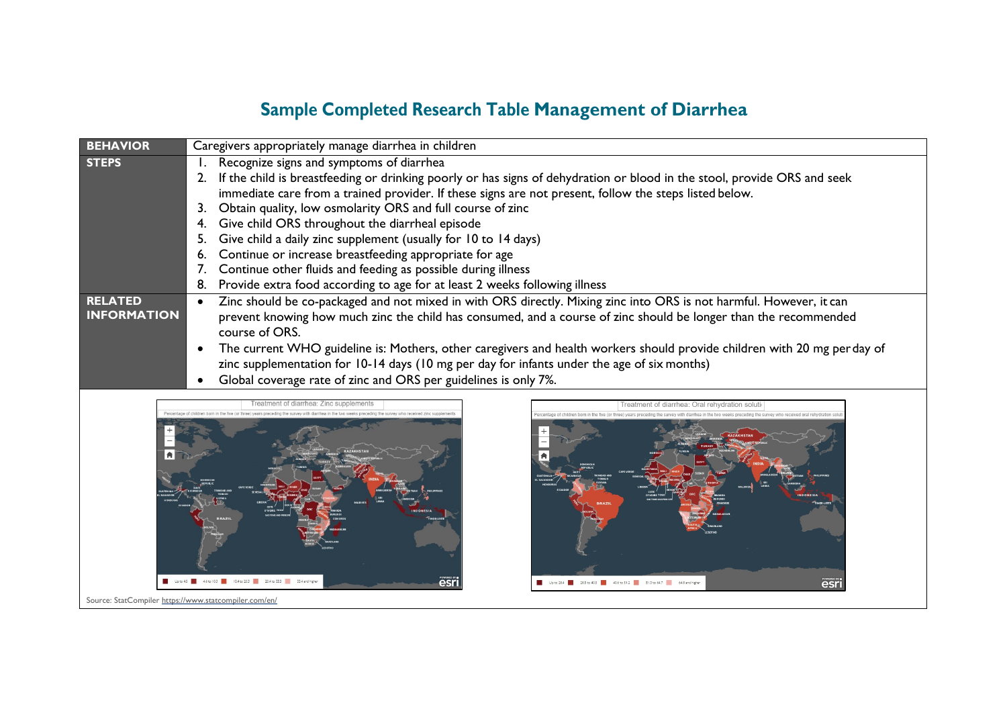## **Sample Completed Research Table Management of Diarrhea**

| <b>BEHAVIOR</b>    | Caregivers appropriately manage diarrhea in children            |                                                                                                                          |  |  |
|--------------------|-----------------------------------------------------------------|--------------------------------------------------------------------------------------------------------------------------|--|--|
| <b>STEPS</b>       |                                                                 | Recognize signs and symptoms of diarrhea                                                                                 |  |  |
|                    | 2.                                                              | If the child is breastfeeding or drinking poorly or has signs of dehydration or blood in the stool, provide ORS and seek |  |  |
|                    |                                                                 | immediate care from a trained provider. If these signs are not present, follow the steps listed below.                   |  |  |
|                    | 3.                                                              | Obtain quality, low osmolarity ORS and full course of zinc                                                               |  |  |
|                    |                                                                 | Give child ORS throughout the diarrheal episode                                                                          |  |  |
|                    |                                                                 | Give child a daily zinc supplement (usually for 10 to 14 days)                                                           |  |  |
|                    |                                                                 | Continue or increase breastfeeding appropriate for age                                                                   |  |  |
|                    |                                                                 | Continue other fluids and feeding as possible during illness                                                             |  |  |
|                    | 8.                                                              | Provide extra food according to age for at least 2 weeks following illness                                               |  |  |
| <b>RELATED</b>     |                                                                 | Zinc should be co-packaged and not mixed in with ORS directly. Mixing zinc into ORS is not harmful. However, it can      |  |  |
| <b>INFORMATION</b> |                                                                 | prevent knowing how much zinc the child has consumed, and a course of zinc should be longer than the recommended         |  |  |
|                    |                                                                 | course of ORS.                                                                                                           |  |  |
|                    |                                                                 | The current WHO guideline is: Mothers, other caregivers and health workers should provide children with 20 mg perday of  |  |  |
|                    |                                                                 | zinc supplementation for 10-14 days (10 mg per day for infants under the age of six months)                              |  |  |
|                    | Global coverage rate of zinc and ORS per guidelines is only 7%. |                                                                                                                          |  |  |
|                    |                                                                 | reatment of diarrhea: Oral rehvdration solut                                                                             |  |  |
|                    |                                                                 |                                                                                                                          |  |  |
|                    |                                                                 |                                                                                                                          |  |  |
|                    |                                                                 |                                                                                                                          |  |  |
|                    |                                                                 |                                                                                                                          |  |  |
|                    |                                                                 |                                                                                                                          |  |  |
|                    |                                                                 |                                                                                                                          |  |  |
|                    |                                                                 |                                                                                                                          |  |  |

Upto 284 385 to 405 406 to 512 513 to 647 648 and higher

esri

esri

Source: StatCompile[r https://www.statcompiler.com/en/](https://www.statcompiler.com/en/)

Up to 45 46 to 103 3 104 to 203 3 204 to 333 3 34 and higher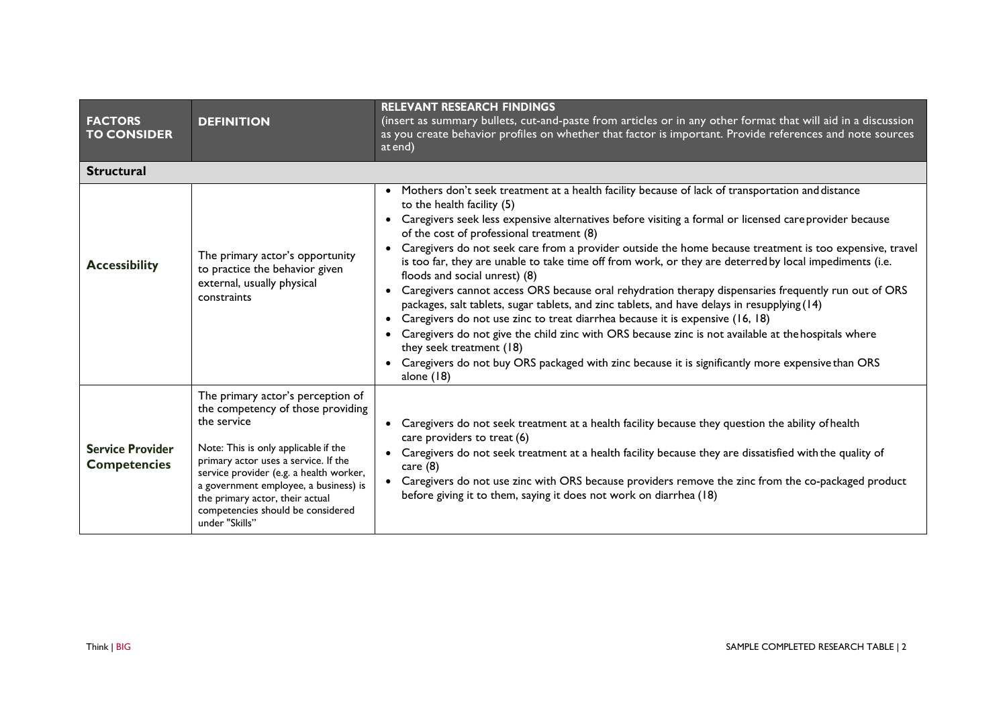| <b>FACTORS</b><br><b>TO CONSIDER</b>           | <b>DEFINITION</b>                                                                                                                                                                                                                                                                                                                                   | <b>RELEVANT RESEARCH FINDINGS</b><br>(insert as summary bullets, cut-and-paste from articles or in any other format that will aid in a discussion<br>as you create behavior profiles on whether that factor is important. Provide references and note sources<br>at end)                                                                                                                                                                                                                                                                                                                                                                                                                                                                                                                                                                                                                                                                                                                                                                                                                                                   |  |  |
|------------------------------------------------|-----------------------------------------------------------------------------------------------------------------------------------------------------------------------------------------------------------------------------------------------------------------------------------------------------------------------------------------------------|----------------------------------------------------------------------------------------------------------------------------------------------------------------------------------------------------------------------------------------------------------------------------------------------------------------------------------------------------------------------------------------------------------------------------------------------------------------------------------------------------------------------------------------------------------------------------------------------------------------------------------------------------------------------------------------------------------------------------------------------------------------------------------------------------------------------------------------------------------------------------------------------------------------------------------------------------------------------------------------------------------------------------------------------------------------------------------------------------------------------------|--|--|
| <b>Structural</b>                              |                                                                                                                                                                                                                                                                                                                                                     |                                                                                                                                                                                                                                                                                                                                                                                                                                                                                                                                                                                                                                                                                                                                                                                                                                                                                                                                                                                                                                                                                                                            |  |  |
| <b>Accessibility</b>                           | The primary actor's opportunity<br>to practice the behavior given<br>external, usually physical<br>constraints                                                                                                                                                                                                                                      | • Mothers don't seek treatment at a health facility because of lack of transportation and distance<br>to the health facility (5)<br>• Caregivers seek less expensive alternatives before visiting a formal or licensed care provider because<br>of the cost of professional treatment (8)<br>Caregivers do not seek care from a provider outside the home because treatment is too expensive, travel<br>is too far, they are unable to take time off from work, or they are deterred by local impediments (i.e.<br>floods and social unrest) (8)<br>Caregivers cannot access ORS because oral rehydration therapy dispensaries frequently run out of ORS<br>$\bullet$<br>packages, salt tablets, sugar tablets, and zinc tablets, and have delays in resupplying (14)<br>Caregivers do not use zinc to treat diarrhea because it is expensive (16, 18)<br>$\bullet$<br>Caregivers do not give the child zinc with ORS because zinc is not available at the hospitals where<br>they seek treatment (18)<br>Caregivers do not buy ORS packaged with zinc because it is significantly more expensive than ORS<br>alone $(18)$ |  |  |
| <b>Service Provider</b><br><b>Competencies</b> | The primary actor's perception of<br>the competency of those providing<br>the service<br>Note: This is only applicable if the<br>primary actor uses a service. If the<br>service provider (e.g. a health worker,<br>a government employee, a business) is<br>the primary actor, their actual<br>competencies should be considered<br>under "Skills" | • Caregivers do not seek treatment at a health facility because they question the ability of health<br>care providers to treat (6)<br>Caregivers do not seek treatment at a health facility because they are dissatisfied with the quality of<br>$\bullet$<br>care $(8)$<br>• Caregivers do not use zinc with ORS because providers remove the zinc from the co-packaged product<br>before giving it to them, saying it does not work on diarrhea (18)                                                                                                                                                                                                                                                                                                                                                                                                                                                                                                                                                                                                                                                                     |  |  |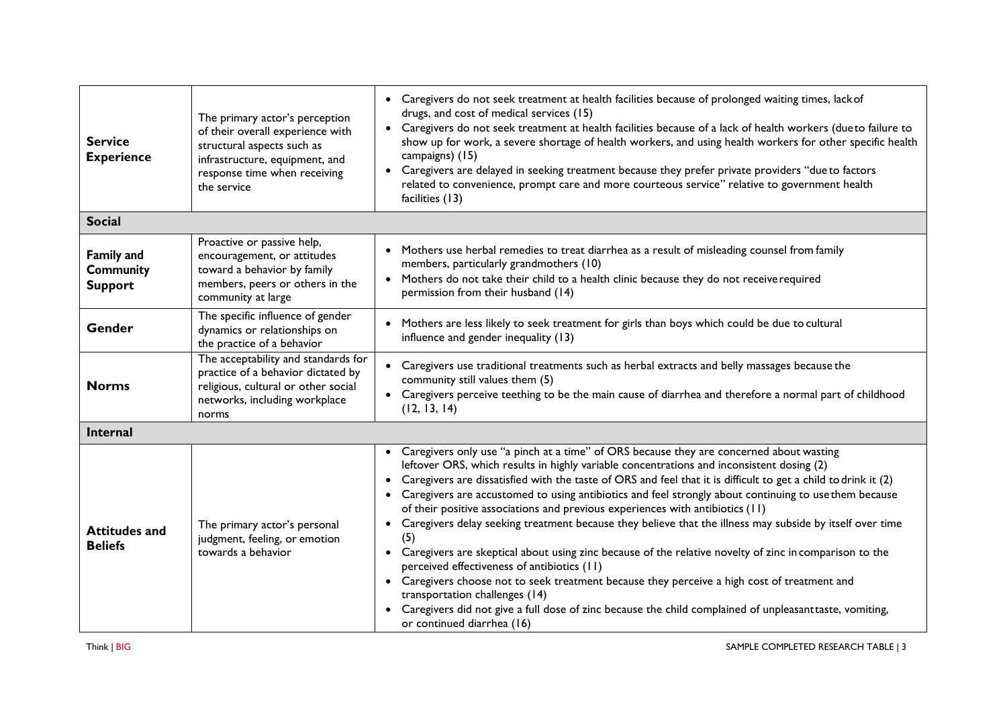| <b>Service</b><br><b>Experience</b>                     | The primary actor's perception<br>of their overall experience with<br>structural aspects such as<br>infrastructure, equipment, and<br>response time when receiving<br>the service | Caregivers do not seek treatment at health facilities because of prolonged waiting times, lack of<br>$\bullet$<br>drugs, and cost of medical services (15)<br>Caregivers do not seek treatment at health facilities because of a lack of health workers (dueto failure to<br>$\bullet$<br>show up for work, a severe shortage of health workers, and using health workers for other specific health<br>campaigns) (15)<br>Caregivers are delayed in seeking treatment because they prefer private providers "due to factors<br>$\bullet$<br>related to convenience, prompt care and more courteous service" relative to government health<br>facilities (13)                                                                                                                                                                                                                                                                                                                                                                                                                                 |  |
|---------------------------------------------------------|-----------------------------------------------------------------------------------------------------------------------------------------------------------------------------------|----------------------------------------------------------------------------------------------------------------------------------------------------------------------------------------------------------------------------------------------------------------------------------------------------------------------------------------------------------------------------------------------------------------------------------------------------------------------------------------------------------------------------------------------------------------------------------------------------------------------------------------------------------------------------------------------------------------------------------------------------------------------------------------------------------------------------------------------------------------------------------------------------------------------------------------------------------------------------------------------------------------------------------------------------------------------------------------------|--|
| <b>Social</b>                                           |                                                                                                                                                                                   |                                                                                                                                                                                                                                                                                                                                                                                                                                                                                                                                                                                                                                                                                                                                                                                                                                                                                                                                                                                                                                                                                              |  |
| <b>Family and</b><br><b>Community</b><br><b>Support</b> | Proactive or passive help,<br>encouragement, or attitudes<br>toward a behavior by family<br>members, peers or others in the<br>community at large                                 | Mothers use herbal remedies to treat diarrhea as a result of misleading counsel from family<br>$\bullet$<br>members, particularly grandmothers (10)<br>Mothers do not take their child to a health clinic because they do not receive required<br>$\bullet$<br>permission from their husband (14)                                                                                                                                                                                                                                                                                                                                                                                                                                                                                                                                                                                                                                                                                                                                                                                            |  |
| Gender                                                  | The specific influence of gender<br>dynamics or relationships on<br>the practice of a behavior                                                                                    | Mothers are less likely to seek treatment for girls than boys which could be due to cultural<br>influence and gender inequality (13)                                                                                                                                                                                                                                                                                                                                                                                                                                                                                                                                                                                                                                                                                                                                                                                                                                                                                                                                                         |  |
| <b>Norms</b>                                            | The acceptability and standards for<br>practice of a behavior dictated by<br>religious, cultural or other social<br>networks, including workplace<br>norms                        | Caregivers use traditional treatments such as herbal extracts and belly massages because the<br>community still values them (5)<br>Caregivers perceive teething to be the main cause of diarrhea and therefore a normal part of childhood<br>$\bullet$<br>(12, 13, 14)                                                                                                                                                                                                                                                                                                                                                                                                                                                                                                                                                                                                                                                                                                                                                                                                                       |  |
| Internal                                                |                                                                                                                                                                                   |                                                                                                                                                                                                                                                                                                                                                                                                                                                                                                                                                                                                                                                                                                                                                                                                                                                                                                                                                                                                                                                                                              |  |
| <b>Attitudes and</b><br><b>Beliefs</b>                  | The primary actor's personal<br>judgment, feeling, or emotion<br>towards a behavior                                                                                               | Caregivers only use "a pinch at a time" of ORS because they are concerned about wasting<br>$\bullet$<br>leftover ORS, which results in highly variable concentrations and inconsistent dosing (2)<br>Caregivers are dissatisfied with the taste of ORS and feel that it is difficult to get a child to drink it (2)<br>Caregivers are accustomed to using antibiotics and feel strongly about continuing to use them because<br>of their positive associations and previous experiences with antibiotics (11)<br>Caregivers delay seeking treatment because they believe that the illness may subside by itself over time<br>(5)<br>Caregivers are skeptical about using zinc because of the relative novelty of zinc in comparison to the<br>$\bullet$<br>perceived effectiveness of antibiotics (11)<br>Caregivers choose not to seek treatment because they perceive a high cost of treatment and<br>$\bullet$<br>transportation challenges (14)<br>Caregivers did not give a full dose of zinc because the child complained of unpleasant taste, vomiting,<br>or continued diarrhea (16) |  |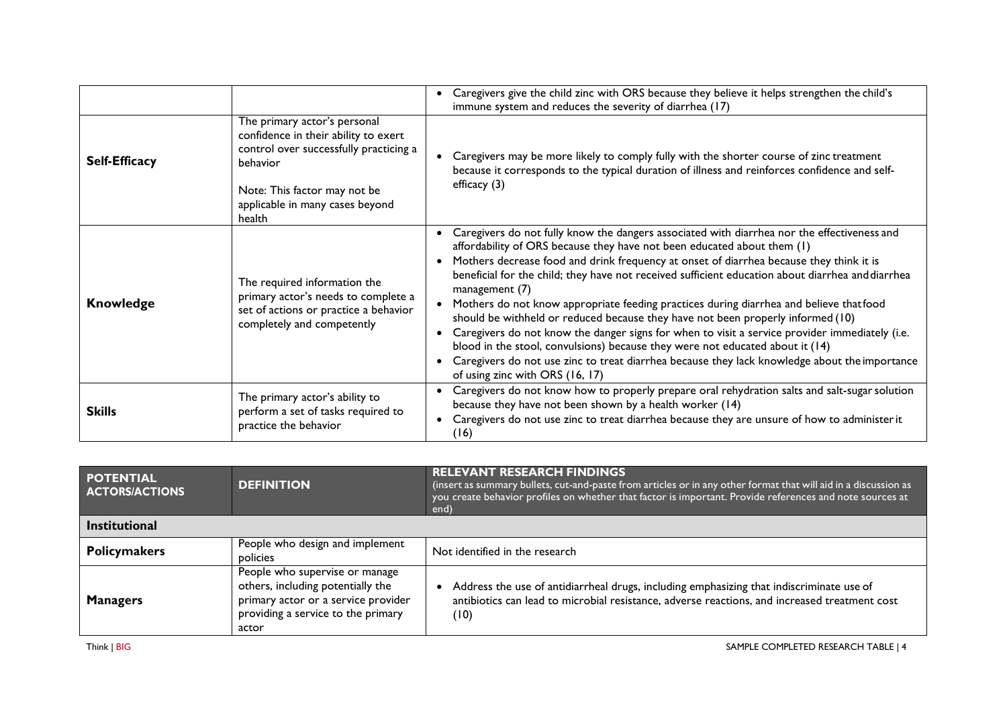|                      |                                                                                                                                                                                                         | Caregivers give the child zinc with ORS because they believe it helps strengthen the child's<br>immune system and reduces the severity of diarrhea (17)                                                                                                                                                                                                                                                                                                                                                                                                                                                                                                                                                                                                                                                                                                                                      |
|----------------------|---------------------------------------------------------------------------------------------------------------------------------------------------------------------------------------------------------|----------------------------------------------------------------------------------------------------------------------------------------------------------------------------------------------------------------------------------------------------------------------------------------------------------------------------------------------------------------------------------------------------------------------------------------------------------------------------------------------------------------------------------------------------------------------------------------------------------------------------------------------------------------------------------------------------------------------------------------------------------------------------------------------------------------------------------------------------------------------------------------------|
| <b>Self-Efficacy</b> | The primary actor's personal<br>confidence in their ability to exert<br>control over successfully practicing a<br>behavior<br>Note: This factor may not be<br>applicable in many cases beyond<br>health | Caregivers may be more likely to comply fully with the shorter course of zinc treatment<br>because it corresponds to the typical duration of illness and reinforces confidence and self-<br>efficacy $(3)$                                                                                                                                                                                                                                                                                                                                                                                                                                                                                                                                                                                                                                                                                   |
| <b>Knowledge</b>     | The required information the<br>primary actor's needs to complete a<br>set of actions or practice a behavior<br>completely and competently                                                              | Caregivers do not fully know the dangers associated with diarrhea nor the effectiveness and<br>affordability of ORS because they have not been educated about them (1)<br>Mothers decrease food and drink frequency at onset of diarrhea because they think it is<br>beneficial for the child; they have not received sufficient education about diarrhea and diarrhea<br>management (7)<br>Mothers do not know appropriate feeding practices during diarrhea and believe thatfood<br>should be withheld or reduced because they have not been properly informed (10)<br>Caregivers do not know the danger signs for when to visit a service provider immediately (i.e.<br>blood in the stool, convulsions) because they were not educated about it (14)<br>Caregivers do not use zinc to treat diarrhea because they lack knowledge about the importance<br>of using zinc with ORS (16, 17) |
| <b>Skills</b>        | The primary actor's ability to<br>perform a set of tasks required to<br>practice the behavior                                                                                                           | Caregivers do not know how to properly prepare oral rehydration salts and salt-sugar solution<br>because they have not been shown by a health worker (14)<br>Caregivers do not use zinc to treat diarrhea because they are unsure of how to administer it<br>(16)                                                                                                                                                                                                                                                                                                                                                                                                                                                                                                                                                                                                                            |

| <b>POTENTIAL</b><br><b>ACTORS/ACTIONS</b> | <b>DEFINITION</b>                                                                                                                                         | <b>RELEVANT RESEARCH FINDINGS</b><br>(insert as summary bullets, cut-and-paste from articles or in any other format that will aid in a discussion as<br>you create behavior profiles on whether that factor is important. Provide references and note sources at<br>end) |  |
|-------------------------------------------|-----------------------------------------------------------------------------------------------------------------------------------------------------------|--------------------------------------------------------------------------------------------------------------------------------------------------------------------------------------------------------------------------------------------------------------------------|--|
| <b>Institutional</b>                      |                                                                                                                                                           |                                                                                                                                                                                                                                                                          |  |
| <b>Policymakers</b>                       | People who design and implement<br>policies                                                                                                               | Not identified in the research                                                                                                                                                                                                                                           |  |
| <b>Managers</b>                           | People who supervise or manage<br>others, including potentially the<br>primary actor or a service provider<br>providing a service to the primary<br>actor | Address the use of antidiarrheal drugs, including emphasizing that indiscriminate use of<br>antibiotics can lead to microbial resistance, adverse reactions, and increased treatment cost<br>(10)                                                                        |  |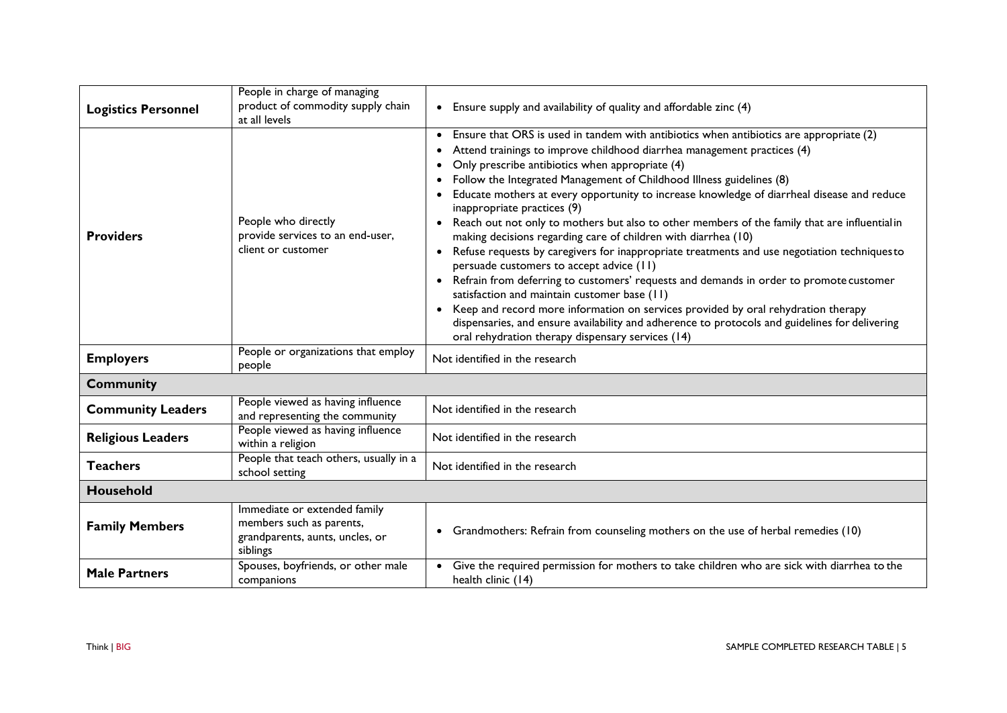| <b>Logistics Personnel</b>                                                                          | People in charge of managing<br>product of commodity supply chain                                       | Ensure supply and availability of quality and affordable zinc (4)                                                                                                                                                                                                                                                                                                                                                                                                                                                                                                                                                                                                                                                                                                                                                                                                                                                                                                                                                                                                                                                               |  |
|-----------------------------------------------------------------------------------------------------|---------------------------------------------------------------------------------------------------------|---------------------------------------------------------------------------------------------------------------------------------------------------------------------------------------------------------------------------------------------------------------------------------------------------------------------------------------------------------------------------------------------------------------------------------------------------------------------------------------------------------------------------------------------------------------------------------------------------------------------------------------------------------------------------------------------------------------------------------------------------------------------------------------------------------------------------------------------------------------------------------------------------------------------------------------------------------------------------------------------------------------------------------------------------------------------------------------------------------------------------------|--|
|                                                                                                     | at all levels                                                                                           |                                                                                                                                                                                                                                                                                                                                                                                                                                                                                                                                                                                                                                                                                                                                                                                                                                                                                                                                                                                                                                                                                                                                 |  |
| <b>Providers</b>                                                                                    | People who directly<br>provide services to an end-user,<br>client or customer                           | Ensure that ORS is used in tandem with antibiotics when antibiotics are appropriate (2)<br>Attend trainings to improve childhood diarrhea management practices (4)<br>Only prescribe antibiotics when appropriate (4)<br>Follow the Integrated Management of Childhood Illness guidelines (8)<br>Educate mothers at every opportunity to increase knowledge of diarrheal disease and reduce<br>inappropriate practices (9)<br>Reach out not only to mothers but also to other members of the family that are influential in<br>making decisions regarding care of children with diarrhea (10)<br>Refuse requests by caregivers for inappropriate treatments and use negotiation techniques to<br>persuade customers to accept advice (11)<br>Refrain from deferring to customers' requests and demands in order to promote customer<br>satisfaction and maintain customer base (11)<br>Keep and record more information on services provided by oral rehydration therapy<br>dispensaries, and ensure availability and adherence to protocols and guidelines for delivering<br>oral rehydration therapy dispensary services (14) |  |
| People or organizations that employ<br><b>Employers</b><br>Not identified in the research<br>people |                                                                                                         |                                                                                                                                                                                                                                                                                                                                                                                                                                                                                                                                                                                                                                                                                                                                                                                                                                                                                                                                                                                                                                                                                                                                 |  |
| <b>Community</b>                                                                                    |                                                                                                         |                                                                                                                                                                                                                                                                                                                                                                                                                                                                                                                                                                                                                                                                                                                                                                                                                                                                                                                                                                                                                                                                                                                                 |  |
| <b>Community Leaders</b>                                                                            | People viewed as having influence<br>and representing the community                                     | Not identified in the research                                                                                                                                                                                                                                                                                                                                                                                                                                                                                                                                                                                                                                                                                                                                                                                                                                                                                                                                                                                                                                                                                                  |  |
| <b>Religious Leaders</b>                                                                            | People viewed as having influence<br>within a religion                                                  | Not identified in the research                                                                                                                                                                                                                                                                                                                                                                                                                                                                                                                                                                                                                                                                                                                                                                                                                                                                                                                                                                                                                                                                                                  |  |
| <b>Teachers</b>                                                                                     | People that teach others, usually in a<br>school setting                                                | Not identified in the research                                                                                                                                                                                                                                                                                                                                                                                                                                                                                                                                                                                                                                                                                                                                                                                                                                                                                                                                                                                                                                                                                                  |  |
| <b>Household</b>                                                                                    |                                                                                                         |                                                                                                                                                                                                                                                                                                                                                                                                                                                                                                                                                                                                                                                                                                                                                                                                                                                                                                                                                                                                                                                                                                                                 |  |
| <b>Family Members</b>                                                                               | Immediate or extended family<br>members such as parents,<br>grandparents, aunts, uncles, or<br>siblings | • Grandmothers: Refrain from counseling mothers on the use of herbal remedies (10)                                                                                                                                                                                                                                                                                                                                                                                                                                                                                                                                                                                                                                                                                                                                                                                                                                                                                                                                                                                                                                              |  |
| <b>Male Partners</b>                                                                                | Spouses, boyfriends, or other male<br>companions                                                        | Give the required permission for mothers to take children who are sick with diarrhea to the<br>health clinic (14)                                                                                                                                                                                                                                                                                                                                                                                                                                                                                                                                                                                                                                                                                                                                                                                                                                                                                                                                                                                                               |  |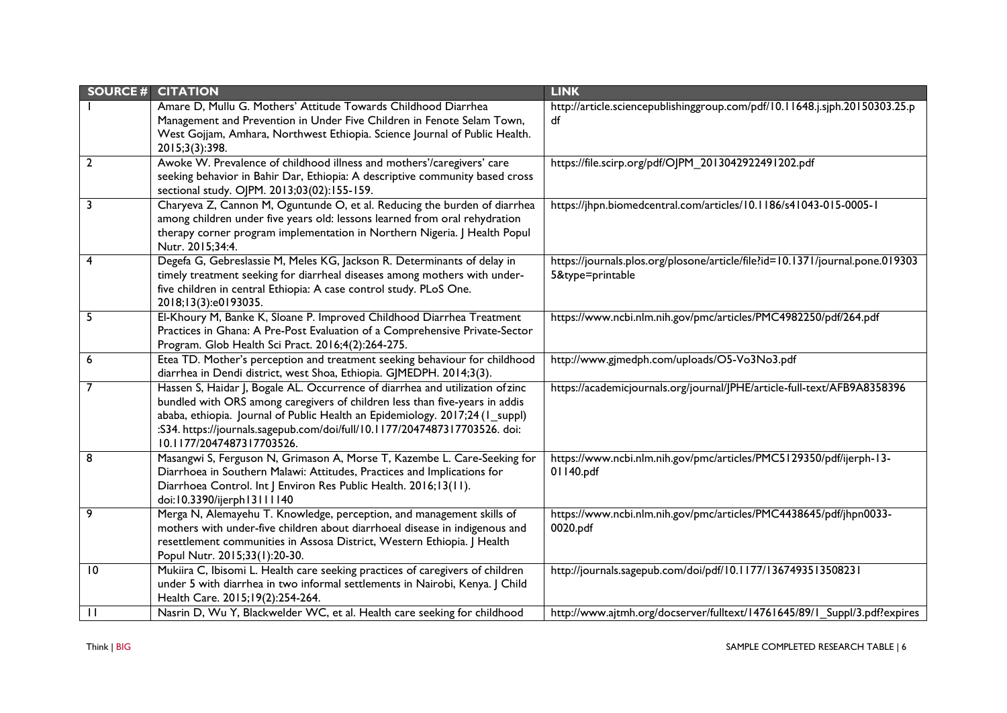| <b>SOURCE#</b> | <b>CITATION</b>                                                                                                                                    | <b>LINK</b>                                                                   |
|----------------|----------------------------------------------------------------------------------------------------------------------------------------------------|-------------------------------------------------------------------------------|
|                | Amare D, Mullu G. Mothers' Attitude Towards Childhood Diarrhea                                                                                     | http://article.sciencepublishinggroup.com/pdf/10.11648.j.sjph.20150303.25.p   |
|                | Management and Prevention in Under Five Children in Fenote Selam Town,                                                                             | df                                                                            |
|                | West Gojjam, Amhara, Northwest Ethiopia. Science Journal of Public Health.                                                                         |                                                                               |
|                | 2015;3(3):398.                                                                                                                                     |                                                                               |
| $\overline{2}$ | Awoke W. Prevalence of childhood illness and mothers'/caregivers' care                                                                             | https://file.scirp.org/pdf/OJPM_2013042922491202.pdf                          |
|                | seeking behavior in Bahir Dar, Ethiopia: A descriptive community based cross                                                                       |                                                                               |
|                | sectional study. OJPM. 2013;03(02):155-159.                                                                                                        |                                                                               |
| 3              | Charyeva Z, Cannon M, Oguntunde O, et al. Reducing the burden of diarrhea                                                                          | https://jhpn.biomedcentral.com/articles/10.1186/s41043-015-0005-1             |
|                | among children under five years old: lessons learned from oral rehydration                                                                         |                                                                               |
|                | therapy corner program implementation in Northern Nigeria. J Health Popul                                                                          |                                                                               |
|                | Nutr. 2015;34:4.                                                                                                                                   |                                                                               |
| 4              | Degefa G, Gebreslassie M, Meles KG, Jackson R. Determinants of delay in                                                                            | https://journals.plos.org/plosone/article/file?id=10.1371/journal.pone.019303 |
|                | timely treatment seeking for diarrheal diseases among mothers with under-                                                                          | 5&type=printable                                                              |
|                | five children in central Ethiopia: A case control study. PLoS One.                                                                                 |                                                                               |
|                | 2018;13(3):e0193035.                                                                                                                               |                                                                               |
| 5              | El-Khoury M, Banke K, Sloane P. Improved Childhood Diarrhea Treatment                                                                              | https://www.ncbi.nlm.nih.gov/pmc/articles/PMC4982250/pdf/264.pdf              |
|                | Practices in Ghana: A Pre-Post Evaluation of a Comprehensive Private-Sector                                                                        |                                                                               |
|                | Program. Glob Health Sci Pract. 2016;4(2):264-275.                                                                                                 |                                                                               |
| 6              | Etea TD. Mother's perception and treatment seeking behaviour for childhood<br>diarrhea in Dendi district, west Shoa, Ethiopia. GJMEDPH. 2014;3(3). | http://www.gjmedph.com/uploads/O5-Vo3No3.pdf                                  |
|                | Hassen S, Haidar J, Bogale AL. Occurrence of diarrhea and utilization ofzinc                                                                       | https://academicjournals.org/journal/JPHE/article-full-text/AFB9A8358396      |
|                | bundled with ORS among caregivers of children less than five-years in addis                                                                        |                                                                               |
|                | ababa, ethiopia. Journal of Public Health an Epidemiology. 2017;24 (1_suppl)                                                                       |                                                                               |
|                | :S34. https://journals.sagepub.com/doi/full/10.1177/2047487317703526. doi:                                                                         |                                                                               |
|                | 10.1177/2047487317703526                                                                                                                           |                                                                               |
| 8              | Masangwi S, Ferguson N, Grimason A, Morse T, Kazembe L. Care-Seeking for                                                                           | https://www.ncbi.nlm.nih.gov/pmc/articles/PMC5129350/pdf/ijerph-13-           |
|                | Diarrhoea in Southern Malawi: Attitudes, Practices and Implications for                                                                            | 01140.pdf                                                                     |
|                | Diarrhoea Control. Int J Environ Res Public Health. 2016;13(11).                                                                                   |                                                                               |
|                | doi:10.3390/ijerph13111140                                                                                                                         |                                                                               |
| 9              | Merga N, Alemayehu T. Knowledge, perception, and management skills of                                                                              | https://www.ncbi.nlm.nih.gov/pmc/articles/PMC4438645/pdf/jhpn0033-            |
|                | mothers with under-five children about diarrhoeal disease in indigenous and                                                                        | 0020.pdf                                                                      |
|                | resettlement communities in Assosa District, Western Ethiopia. J Health                                                                            |                                                                               |
|                | Popul Nutr. 2015;33(1):20-30.                                                                                                                      |                                                                               |
| 10             | Mukiira C, Ibisomi L. Health care seeking practices of caregivers of children                                                                      | http://journals.sagepub.com/doi/pdf/10.1177/1367493513508231                  |
|                | under 5 with diarrhea in two informal settlements in Nairobi, Kenya. J Child                                                                       |                                                                               |
|                | Health Care. 2015;19(2):254-264.                                                                                                                   |                                                                               |
| $\mathbf{H}$   | Nasrin D, Wu Y, Blackwelder WC, et al. Health care seeking for childhood                                                                           | http://www.ajtmh.org/docserver/fulltext/14761645/89/1_Suppl/3.pdf?expires     |